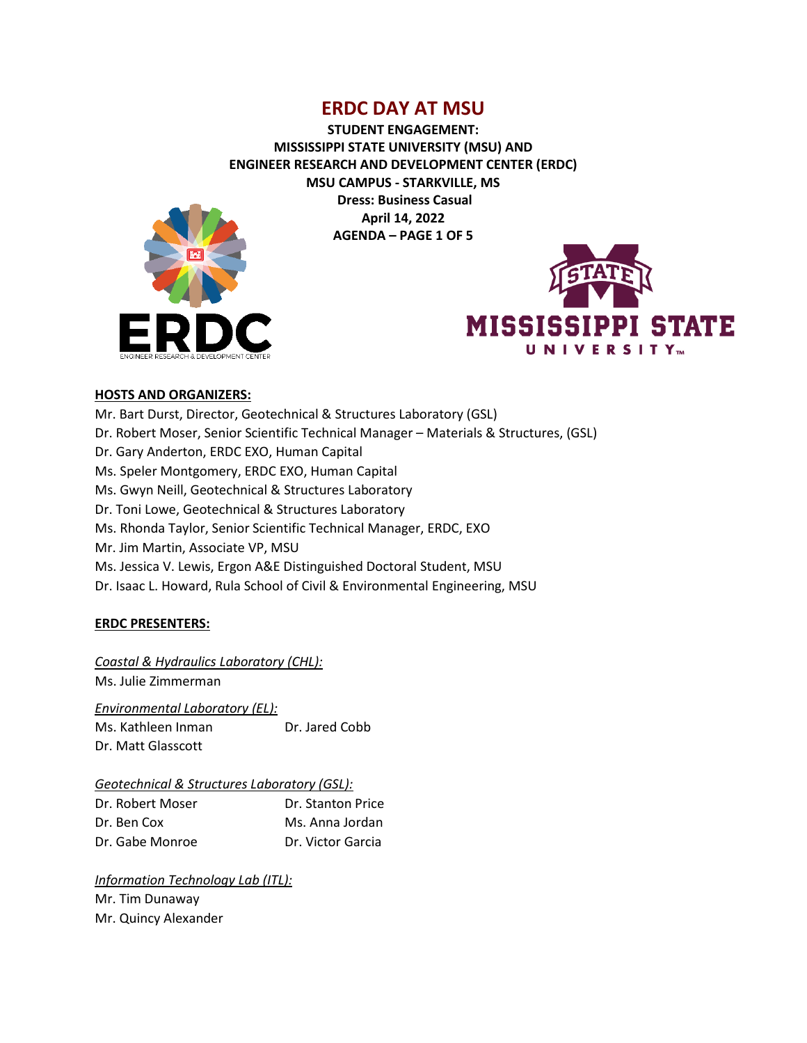**STUDENT ENGAGEMENT: MISSISSIPPI STATE UNIVERSITY (MSU) AND ENGINEER RESEARCH AND DEVELOPMENT CENTER (ERDC) MSU CAMPUS - STARKVILLE, MS Dress: Business Casual April 14, 2022 AGENDA – PAGE 1 OF 5**





### **HOSTS AND ORGANIZERS:**

Mr. Bart Durst, Director, Geotechnical & Structures Laboratory (GSL) Dr. Robert Moser, Senior Scientific Technical Manager – Materials & Structures, (GSL) Dr. Gary Anderton, ERDC EXO, Human Capital Ms. Speler Montgomery, ERDC EXO, Human Capital Ms. Gwyn Neill, Geotechnical & Structures Laboratory Dr. Toni Lowe, Geotechnical & Structures Laboratory Ms. Rhonda Taylor, Senior Scientific Technical Manager, ERDC, EXO Mr. Jim Martin, Associate VP, MSU Ms. Jessica V. Lewis, Ergon A&E Distinguished Doctoral Student, MSU Dr. Isaac L. Howard, Rula School of Civil & Environmental Engineering, MSU

### **ERDC PRESENTERS:**

*Coastal & Hydraulics Laboratory (CHL):* Ms. Julie Zimmerman

*Environmental Laboratory (EL):* Ms. Kathleen Inman Dr. Jared Cobb Dr. Matt Glasscott

### *Geotechnical & Structures Laboratory (GSL):*

| Dr. Robert Moser | Dr. Stanton Price |
|------------------|-------------------|
| Dr. Ben Cox      | Ms. Anna Jordan   |
| Dr. Gabe Monroe  | Dr. Victor Garcia |

*Information Technology Lab (ITL):* Mr. Tim Dunaway Mr. Quincy Alexander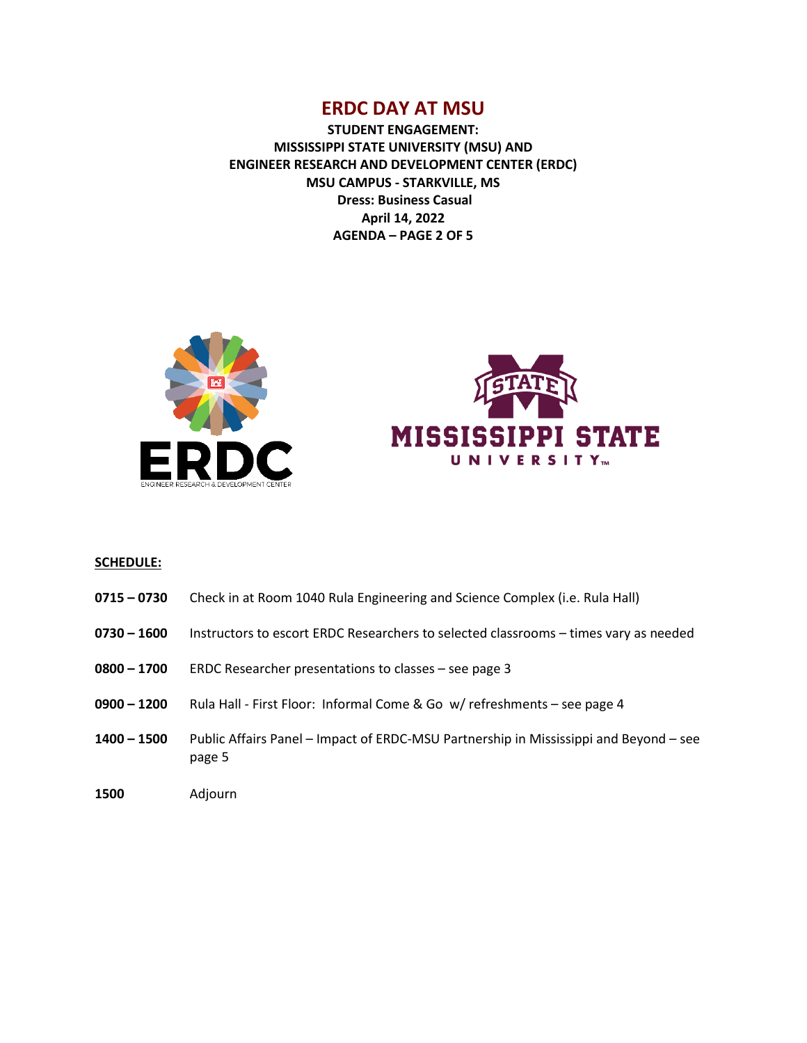**STUDENT ENGAGEMENT: MISSISSIPPI STATE UNIVERSITY (MSU) AND ENGINEER RESEARCH AND DEVELOPMENT CENTER (ERDC) MSU CAMPUS - STARKVILLE, MS Dress: Business Casual April 14, 2022 AGENDA – PAGE 2 OF 5**





#### **SCHEDULE:**

- **0715 – 0730** Check in at Room 1040 Rula Engineering and Science Complex (i.e. Rula Hall)
- **0730 – 1600** Instructors to escort ERDC Researchers to selected classrooms times vary as needed
- **0800 – 1700** ERDC Researcher presentations to classes see page 3
- **0900 – 1200** Rula Hall First Floor: Informal Come & Go w/ refreshments see page 4
- **1400 – 1500** Public Affairs Panel Impact of ERDC-MSU Partnership in Mississippi and Beyond see page 5
- **1500** Adjourn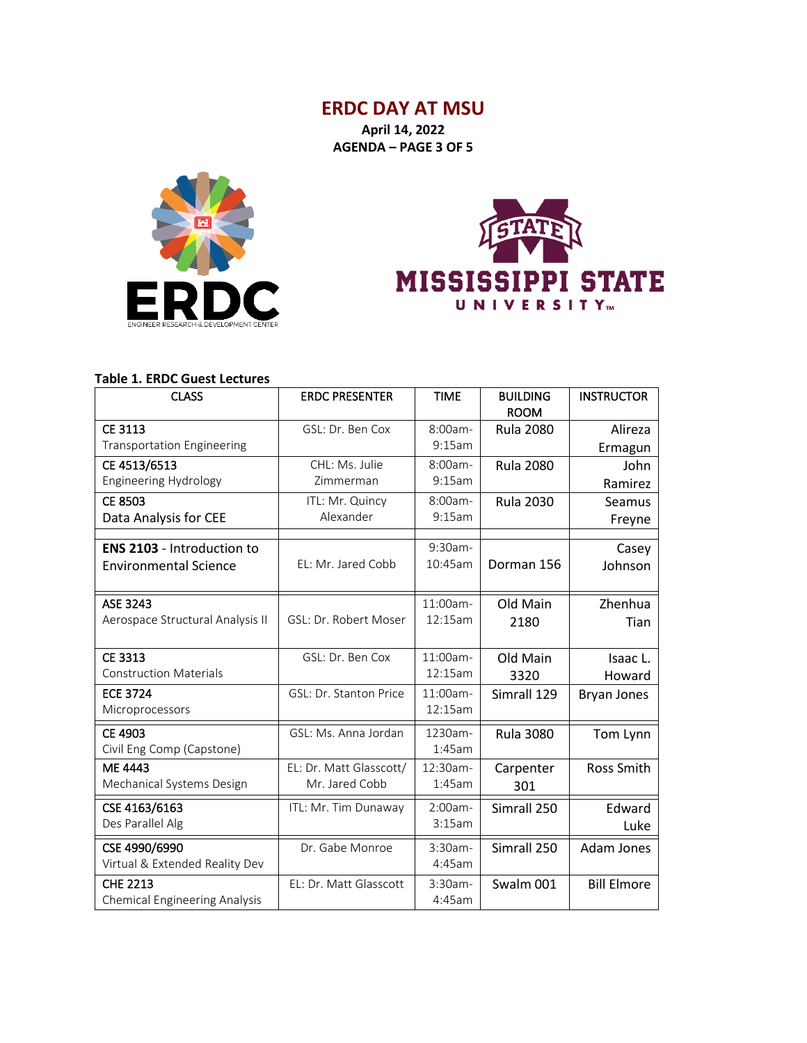**April 14, 2022 AGENDA – PAGE 3 OF 5**





### **Table 1. ERDC Guest Lectures**

| <b>CLASS</b>                         | <b>ERDC PRESENTER</b>   | <b>TIME</b> | <b>BUILDING</b>  | <b>INSTRUCTOR</b>  |
|--------------------------------------|-------------------------|-------------|------------------|--------------------|
|                                      |                         |             | <b>ROOM</b>      |                    |
| CE 3113                              | GSL: Dr. Ben Cox        | $8:00am -$  | <b>Rula 2080</b> | Alireza            |
| <b>Transportation Engineering</b>    |                         | 9:15am      |                  | Ermagun            |
| CE 4513/6513                         | CHL: Ms. Julie          | 8:00am-     | <b>Rula 2080</b> | John               |
| <b>Engineering Hydrology</b>         | Zimmerman               | 9:15am      |                  | Ramirez            |
| <b>CE 8503</b>                       | ITL: Mr. Quincy         | 8:00am-     | <b>Rula 2030</b> | Seamus             |
| Data Analysis for CEE                | Alexander               | 9:15am      |                  | Freyne             |
|                                      |                         |             |                  |                    |
| <b>ENS 2103</b> - Introduction to    |                         | $9:30$ am-  |                  | Casey              |
| <b>Environmental Science</b>         | EL: Mr. Jared Cobb      | 10:45am     | Dorman 156       | Johnson            |
|                                      |                         |             |                  |                    |
| ASE 3243                             |                         | 11:00am-    | Old Main         | Zhenhua            |
| Aerospace Structural Analysis II     | GSL: Dr. Robert Moser   | 12:15am     | 2180             | Tian               |
|                                      |                         |             |                  |                    |
| CE 3313                              | GSL: Dr. Ben Cox        | $11:00$ am- | Old Main         | Isaac L.           |
| <b>Construction Materials</b>        |                         | 12:15am     | 3320             | Howard             |
| <b>ECE 3724</b>                      | GSL: Dr. Stanton Price  | 11:00am-    | Simrall 129      | <b>Bryan Jones</b> |
| Microprocessors                      |                         | 12:15am     |                  |                    |
| CE 4903                              | GSL: Ms. Anna Jordan    | 1230am-     | <b>Rula 3080</b> | Tom Lynn           |
| Civil Eng Comp (Capstone)            |                         | 1:45am      |                  |                    |
| <b>ME 4443</b>                       | EL: Dr. Matt Glasscott/ | 12:30am-    | Carpenter        | <b>Ross Smith</b>  |
| Mechanical Systems Design            | Mr. Jared Cobb          | 1:45am      |                  |                    |
|                                      |                         |             | 301              |                    |
| CSE 4163/6163                        | ITL: Mr. Tim Dunaway    | $2:00am -$  | Simrall 250      | Edward             |
| Des Parallel Alg                     |                         | 3:15am      |                  | Luke               |
| CSE 4990/6990                        | Dr. Gabe Monroe         | $3:30am-$   | Simrall 250      | Adam Jones         |
| Virtual & Extended Reality Dev       |                         | 4:45am      |                  |                    |
| <b>CHE 2213</b>                      | EL: Dr. Matt Glasscott  | $3:30am-$   | Swalm 001        | <b>Bill Elmore</b> |
| <b>Chemical Engineering Analysis</b> |                         | 4:45am      |                  |                    |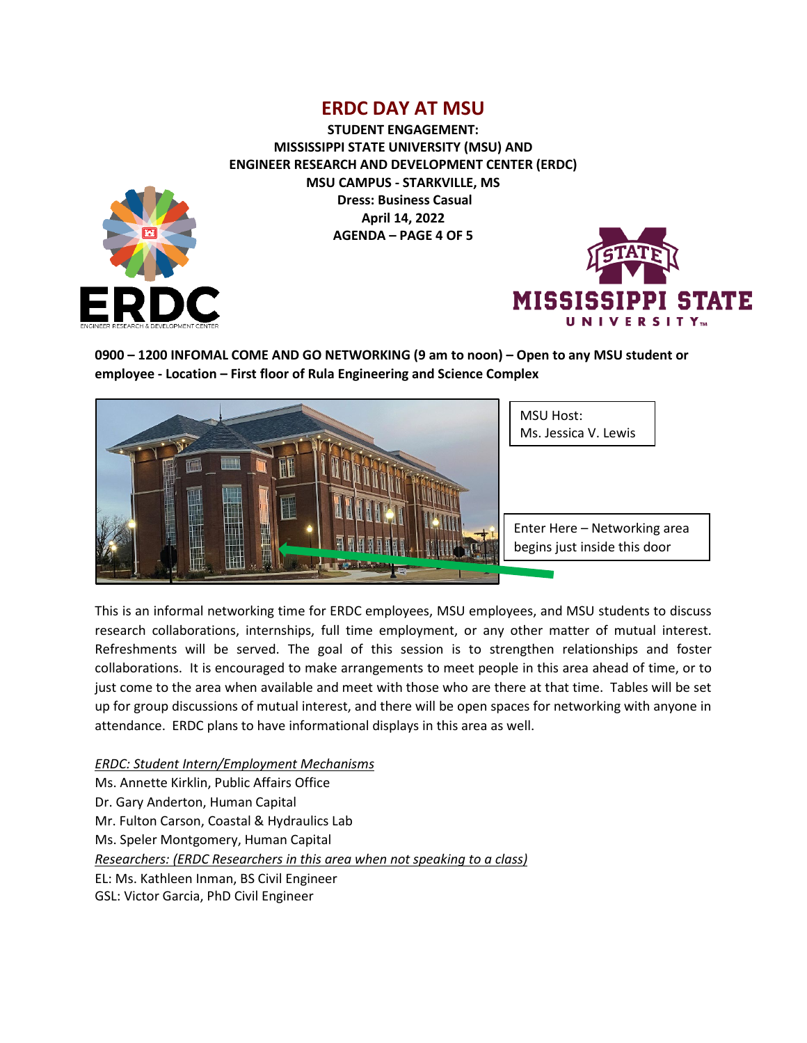**STUDENT ENGAGEMENT: MISSISSIPPI STATE UNIVERSITY (MSU) AND ENGINEER RESEARCH AND DEVELOPMENT CENTER (ERDC) MSU CAMPUS - STARKVILLE, MS Dress: Business Casual April 14, 2022 AGENDA – PAGE 4 OF 5**



**0900 – 1200 INFOMAL COME AND GO NETWORKING (9 am to noon) – Open to any MSU student or employee - Location – First floor of Rula Engineering and Science Complex**



This is an informal networking time for ERDC employees, MSU employees, and MSU students to discuss research collaborations, internships, full time employment, or any other matter of mutual interest. Refreshments will be served. The goal of this session is to strengthen relationships and foster collaborations. It is encouraged to make arrangements to meet people in this area ahead of time, or to just come to the area when available and meet with those who are there at that time. Tables will be set up for group discussions of mutual interest, and there will be open spaces for networking with anyone in attendance. ERDC plans to have informational displays in this area as well.

*ERDC: Student Intern/Employment Mechanisms*

Ms. Annette Kirklin, Public Affairs Office

Dr. Gary Anderton, Human Capital

Mr. Fulton Carson, Coastal & Hydraulics Lab

Ms. Speler Montgomery, Human Capital

*Researchers: (ERDC Researchers in this area when not speaking to a class)*

EL: Ms. Kathleen Inman, BS Civil Engineer

GSL: Victor Garcia, PhD Civil Engineer